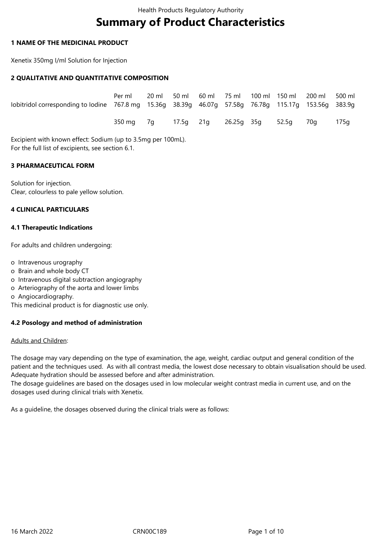# **Summary of Product Characteristics**

#### **1 NAME OF THE MEDICINAL PRODUCT**

Xenetix 350mg I/ml Solution for Injection

### **2 QUALITATIVE AND QUANTITATIVE COMPOSITION**

| lobitridol corresponding to lodine 767.8 mg 15.36g 38.39g 46.07g 57.58g 76.78g 115.17g 153.56g 383.9g | Per ml                                        |  |  |  | 20 ml 50 ml 60 ml 75 ml 100 ml 150 ml 200 ml 500 ml |  |
|-------------------------------------------------------------------------------------------------------|-----------------------------------------------|--|--|--|-----------------------------------------------------|--|
|                                                                                                       | 350 mg 7g 17.5g 21g 26.25g 35g 52.5g 70g 175g |  |  |  |                                                     |  |

Excipient with known effect: Sodium (up to 3.5mg per 100mL). For the full list of excipients, see section 6.1.

### **3 PHARMACEUTICAL FORM**

Solution for injection. Clear, colourless to pale yellow solution.

#### **4 CLINICAL PARTICULARS**

### **4.1 Therapeutic Indications**

For adults and children undergoing:

- o Intravenous urography
- o Brain and whole body CT
- o Intravenous digital subtraction angiography
- o Arteriography of the aorta and lower limbs
- o Angiocardiography.

This medicinal product is for diagnostic use only.

## **4.2 Posology and method of administration**

#### Adults and Children:

The dosage may vary depending on the type of examination, the age, weight, cardiac output and general condition of the patient and the techniques used. As with all contrast media, the lowest dose necessary to obtain visualisation should be used. Adequate hydration should be assessed before and after administration.

The dosage guidelines are based on the dosages used in low molecular weight contrast media in current use, and on the dosages used during clinical trials with Xenetix.

As a guideline, the dosages observed during the clinical trials were as follows: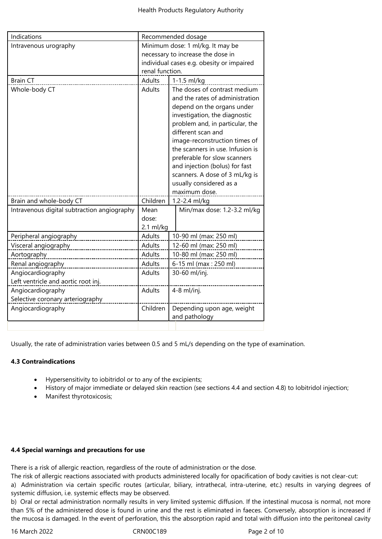| Indications                                 | Recommended dosage               |                                           |  |  |
|---------------------------------------------|----------------------------------|-------------------------------------------|--|--|
| Intravenous urography                       | Minimum dose: 1 ml/kg. It may be |                                           |  |  |
|                                             |                                  | necessary to increase the dose in         |  |  |
|                                             |                                  | individual cases e.g. obesity or impaired |  |  |
|                                             | renal function.                  |                                           |  |  |
| <b>Brain CT</b>                             | Adults                           | 1-1.5 ml/kg                               |  |  |
| Whole-body CT                               | <b>Adults</b>                    | The doses of contrast medium              |  |  |
|                                             |                                  | and the rates of administration           |  |  |
|                                             |                                  | depend on the organs under                |  |  |
|                                             |                                  | investigation, the diagnostic             |  |  |
|                                             |                                  | problem and, in particular, the           |  |  |
|                                             |                                  | different scan and                        |  |  |
|                                             |                                  | image-reconstruction times of             |  |  |
|                                             |                                  | the scanners in use. Infusion is          |  |  |
|                                             |                                  | preferable for slow scanners              |  |  |
|                                             |                                  | and injection (bolus) for fast            |  |  |
|                                             |                                  | scanners. A dose of 3 mL/kg is            |  |  |
|                                             |                                  | usually considered as a                   |  |  |
|                                             |                                  | maximum dose.                             |  |  |
| Brain and whole-body CT                     | Children                         | 1.2-2.4 ml/kg                             |  |  |
| Intravenous digital subtraction angiography | Mean                             | Min/max dose: 1.2-3.2 ml/kg               |  |  |
|                                             | dose:                            |                                           |  |  |
|                                             | $2.1$ ml/kg                      |                                           |  |  |
| Peripheral angiography                      | <b>Adults</b>                    | 10-90 ml (max: 250 ml)                    |  |  |
| Visceral angiography                        | <b>Adults</b>                    | 12-60 ml (max: 250 ml)                    |  |  |
| Aortography                                 | <b>Adults</b>                    | 10-80 ml (max: 250 ml)                    |  |  |
| Renal angiography                           | Adults                           | 6-15 ml (max: 250 ml)                     |  |  |
| Angiocardiography                           | <b>Adults</b>                    | 30-60 ml/inj.                             |  |  |
| Left ventricle and aortic root inj.         |                                  |                                           |  |  |
| Angiocardiography                           | <b>Adults</b>                    | $4-8$ ml/inj.                             |  |  |
| Selective coronary arteriography            |                                  |                                           |  |  |
| Angiocardiography                           | Children                         | Depending upon age, weight                |  |  |
|                                             |                                  | and pathology                             |  |  |
|                                             |                                  |                                           |  |  |

Usually, the rate of administration varies between 0.5 and 5 mL/s depending on the type of examination.

# **4.3 Contraindications**

- Hypersensitivity to iobitridol or to any of the excipients;
- History of major immediate or delayed skin reaction (see sections 4.4 and section 4.8) to Iobitridol injection;
- Manifest thyrotoxicosis;

# **4.4 Special warnings and precautions for use**

There is a risk of allergic reaction, regardless of the route of administration or the dose.

The risk of allergic reactions associated with products administered locally for opacification of body cavities is not clear-cut:

a) Administration via certain specific routes (articular, biliary, intrathecal, intra-uterine, etc.) results in varying degrees of systemic diffusion, i.e. systemic effects may be observed.

b) Oral or rectal administration normally results in very limited systemic diffusion. If the intestinal mucosa is normal, not more than 5% of the administered dose is found in urine and the rest is eliminated in faeces. Conversely, absorption is increased if the mucosa is damaged. In the event of perforation, this the absorption rapid and total with diffusion into the peritoneal cavity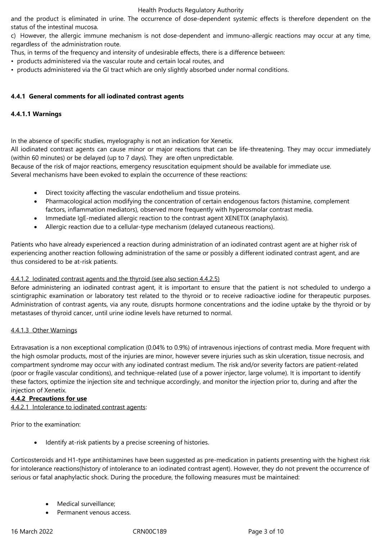#### Health Products Regulatory Authority

and the product is eliminated in urine. The occurrence of dose-dependent systemic effects is therefore dependent on the status of the intestinal mucosa.

c) However, the allergic immune mechanism is not dose-dependent and immuno-allergic reactions may occur at any time, regardless of the administration route.

Thus, in terms of the frequency and intensity of undesirable effects, there is a difference between:

- products administered via the vascular route and certain local routes, and
- products administered via the GI tract which are only slightly absorbed under normal conditions.

### **4.4.1 General comments for all iodinated contrast agents**

### **4.4.1.1 Warnings**

In the absence of specific studies, myelography is not an indication for Xenetix.

All iodinated contrast agents can cause minor or major reactions that can be life-threatening. They may occur immediately (within 60 minutes) or be delayed (up to 7 days). They are often unpredictable.

Because of the risk of major reactions, emergency resuscitation equipment should be available for immediate use. Several mechanisms have been evoked to explain the occurrence of these reactions:

- Direct toxicity affecting the vascular endothelium and tissue proteins.
- Pharmacological action modifying the concentration of certain endogenous factors (histamine, complement factors, inflammation mediators), observed more frequently with hyperosmolar contrast media.
- Immediate IgE-mediated allergic reaction to the contrast agent XENETIX (anaphylaxis).
- Allergic reaction due to a cellular-type mechanism (delayed cutaneous reactions).

Patients who have already experienced a reaction during administration of an iodinated contrast agent are at higher risk of experiencing another reaction following administration of the same or possibly a different iodinated contrast agent, and are thus considered to be at-risk patients.

#### 4.4.1.2 Iodinated contrast agents and the thyroid (see also section 4.4.2.5)

Before administering an iodinated contrast agent, it is important to ensure that the patient is not scheduled to undergo a scintigraphic examination or laboratory test related to the thyroid or to receive radioactive iodine for therapeutic purposes. Administration of contrast agents, via any route, disrupts hormone concentrations and the iodine uptake by the thyroid or by metastases of thyroid cancer, until urine iodine levels have returned to normal.

#### 4.4.1.3 Other Warnings

Extravasation is a non exceptional complication (0.04% to 0.9%) of intravenous injections of contrast media. More frequent with the high osmolar products, most of the injuries are minor, however severe injuries such as skin ulceration, tissue necrosis, and compartment syndrome may occur with any iodinated contrast medium. The risk and/or severity factors are patient-related (poor or fragile vascular conditions), and technique-related (use of a power injector, large volume). It is important to identify these factors, optimize the injection site and technique accordingly, and monitor the injection prior to, during and after the injection of Xenetix.

#### **4.4.2 Precautions for use**

4.4.2.1 Intolerance to iodinated contrast agents:

Prior to the examination:

Identify at-risk patients by a precise screening of histories.

Corticosteroids and H1-type antihistamines have been suggested as pre-medication in patients presenting with the highest risk for intolerance reactions(history of intolerance to an iodinated contrast agent). However, they do not prevent the occurrence of serious or fatal anaphylactic shock. During the procedure, the following measures must be maintained:

- Medical surveillance;
- Permanent venous access.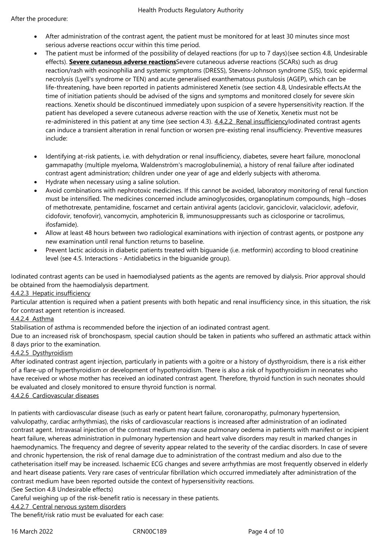- After administration of the contrast agent, the patient must be monitored for at least 30 minutes since most serious adverse reactions occur within this time period.
- The patient must be informed of the possibility of delayed reactions (for up to 7 days)(see section 4.8, Undesirable effects). **Severe cutaneous adverse reactions**Severe cutaneous adverse reactions (SCARs) such as drug reaction/rash with eosinophilia and systemic symptoms (DRESS), Stevens-Johnson syndrome (SJS), toxic epidermal necrolysis (Lyell's syndrome or TEN) and acute generalised exanthematous pustulosis (AGEP), which can be life-threatening, have been reported in patients administered Xenetix (see section 4.8, Undesirable effects.At the time of initiation patients should be advised of the signs and symptoms and monitored closely for severe skin reactions. Xenetix should be discontinued immediately upon suspicion of a severe hypersensitivity reaction. If the patient has developed a severe cutaneous adverse reaction with the use of Xenetix, Xenetix must not be re-administered in this patient at any time (see section 4.3). 4.4.2.2 Renal insufficiencylodinated contrast agents can induce a transient alteration in renal function or worsen pre-existing renal insufficiency. Preventive measures include:
- Identifying at-risk patients, i.e. with dehydration or renal insufficiency, diabetes, severe heart failure, monoclonal gammapathy (multiple myeloma, Waldenström's macroglobulinemia), a history of renal failure after iodinated contrast agent administration; children under one year of age and elderly subjects with atheroma.
- Hydrate when necessary using a saline solution.
- Avoid combinations with nephrotoxic medicines. If this cannot be avoided, laboratory monitoring of renal function must be intensified. The medicines concerned include aminoglycosides, organoplatinum compounds, high –doses of methotrexate, pentamidine, foscarnet and certain antiviral agents (aciclovir, ganciclovir, valaciclovir, adefovir, cidofovir, tenofovir), vancomycin, amphotericin B, immunosuppressants such as ciclosporine or tacrolimus, ifosfamide).
- Allow at least 48 hours between two radiological examinations with injection of contrast agents, or postpone any new examination until renal function returns to baseline.
- Prevent lactic acidosis in diabetic patients treated with biguanide (i.e. metformin) according to blood creatinine level (see 4.5. Interactions - Antidiabetics in the biguanide group).

Iodinated contrast agents can be used in haemodialysed patients as the agents are removed by dialysis. Prior approval should be obtained from the haemodialysis department.

## 4.4.2.3 Hepatic insufficiency

Particular attention is required when a patient presents with both hepatic and renal insufficiency since, in this situation, the risk for contrast agent retention is increased.

#### 4.4.2.4 Asthma

Stabilisation of asthma is recommended before the injection of an iodinated contrast agent.

Due to an increased risk of bronchospasm, special caution should be taken in patients who suffered an asthmatic attack within 8 days prior to the examination.

## 4.4.2.5 Dysthyroidism

After iodinated contrast agent injection, particularly in patients with a goitre or a history of dysthyroidism, there is a risk either of a flare-up of hyperthyroidism or development of hypothyroidism. There is also a risk of hypothyroidism in neonates who have received or whose mother has received an iodinated contrast agent. Therefore, thyroid function in such neonates should be evaluated and closely monitored to ensure thyroid function is normal.

## 4.4.2.6 Cardiovascular diseases

In patients with cardiovascular disease (such as early or patent heart failure, coronaropathy, pulmonary hypertension, valvulopathy, cardiac arrhythmias), the risks of cardiovascular reactions is increased after administration of an iodinated contrast agent. Intravasal injection of the contrast medium may cause pulmonary oedema in patients with manifest or incipient heart failure, whereas administration in pulmonary hypertension and heart valve disorders may result in marked changes in haemodynamics. The frequency and degree of severity appear related to the severity of the cardiac disorders. In case of severe and chronic hypertension, the risk of renal damage due to administration of the contrast medium and also due to the catheterisation itself may be increased. Ischaemic ECG changes and severe arrhythmias are most frequently observed in elderly and heart disease patients. Very rare cases of ventricular fibrillation which occurred immediately after administration of the contrast medium have been reported outside the context of hypersensitivity reactions.

#### (See Section 4.8 Undesirable effects)

Careful weighing up of the risk-benefit ratio is necessary in these patients.

#### 4.4.2.7 Central nervous system disorders

The benefit/risk ratio must be evaluated for each case: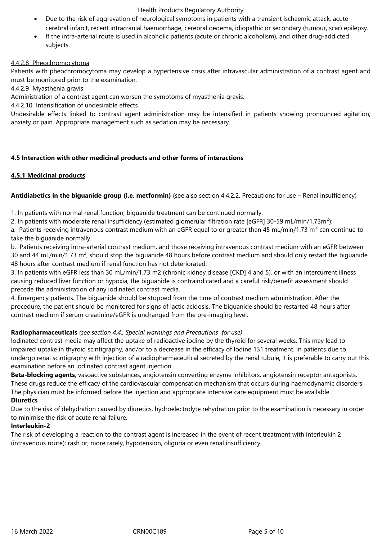#### Health Products Regulatory Authority

- Due to the risk of aggravation of neurological symptoms in patients with a transient ischaemic attack, acute cerebral infarct, recent intracranial haemorrhage, cerebral oedema, idiopathic or secondary (tumour, scar) epilepsy.
- If the intra-arterial route is used in alcoholic patients (acute or chronic alcoholism), and other drug-addicted subjects.

#### 4.4.2.8 Pheochromocytoma

Patients with pheochromocytoma may develop a hypertensive crisis after intravascular administration of a contrast agent and must be monitored prior to the examination.

#### 4.4.2.9 Myasthenia gravis

Administration of a contrast agent can worsen the symptoms of myasthenia gravis.

#### 4.4.2.10 Intensification of undesirable effects

Undesirable effects linked to contrast agent administration may be intensified in patients showing pronounced agitation, anxiety or pain. Appropriate management such as sedation may be necessary.

### **4.5 Interaction with other medicinal products and other forms of interactions**

### **4.5.1 Medicinal products**

### **Antidiabetics in the biguanide group (i.e. metformin)** (see also section 4.4.2.2. Precautions for use – Renal insufficiency)

1. In patients with normal renal function, biguanide treatment can be continued normally.

2. In patients with moderate renal insufficiency (estimated glomerular filtration rate [eGFR] 30-59 mL/min/1.73m<sup>2</sup>):

a. Patients receiving intravenous contrast medium with an eGFR equal to or greater than 45 mL/min/1.73 m<sup>2</sup> can continue to take the biguanide normally.

b. Patients receiving intra-arterial contrast medium, and those receiving intravenous contrast medium with an eGFR between 30 and 44 mL/min/1.73 m<sup>2</sup>, should stop the biguanide 48 hours before contrast medium and should only restart the biguanide 48 hours after contrast medium if renal function has not deteriorated.

3. In patients with eGFR less than 30 mL/min/1.73 m2 (chronic kidney disease [CKD] 4 and 5), or with an intercurrent illness causing reduced liver function or hypoxia, the biguanide is contraindicated and a careful risk/benefit assessment should precede the administration of any iodinated contrast media.

4. Emergency patients. The biguanide should be stopped from the time of contrast medium administration. After the procedure, the patient should be monitored for signs of lactic acidosis. The biguanide should be restarted 48 hours after contrast medium if serum creatinine/eGFR is unchanged from the pre-imaging level.

## **Radiopharmaceuticals** *(see section 4.4., Special warnings and Precautions for use)*

Iodinated contrast media may affect the uptake of radioactive iodine by the thyroid for several weeks. This may lead to impaired uptake in thyroid scintigraphy, and/or to a decrease in the efficacy of Iodine 131 treatment. In patients due to undergo renal scintigraphy with injection of a radiopharmaceutical secreted by the renal tubule, it is preferable to carry out this examination before an iodinated contrast agent injection.

**Beta-blocking agents**, vasoactive substances, angiotensin converting enzyme inhibitors, angiotensin receptor antagonists. These drugs reduce the efficacy of the cardiovascular compensation mechanism that occurs during haemodynamic disorders. The physician must be informed before the injection and appropriate intensive care equipment must be available.

#### **Diuretics**

Due to the risk of dehydration caused by diuretics, hydroelectrolyte rehydration prior to the examination is necessary in order to minimise the risk of acute renal failure.

#### **Interleukin-2**

The risk of developing a reaction to the contrast agent is increased in the event of recent treatment with interleukin 2 (intravenous route): rash or, more rarely, hypotension, oliguria or even renal insufficiency.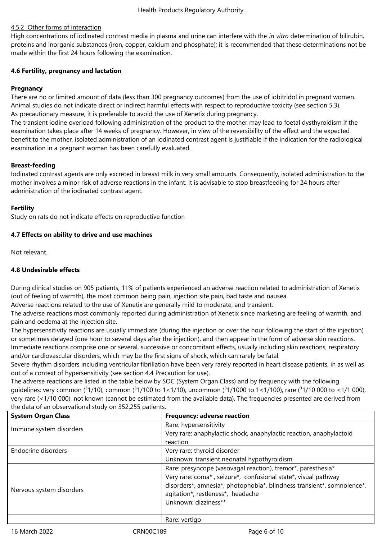## 4.5.2 Other forms of interaction

High concentrations of iodinated contrast media in plasma and urine can interfere with the *in vitro* determination of bilirubin, proteins and inorganic substances (iron, copper, calcium and phosphate); it is recommended that these determinations not be made within the first 24 hours following the examination.

### **4.6 Fertility, pregnancy and lactation**

### **Pregnancy**

There are no or limited amount of data (less than 300 pregnancy outcomes) from the use of iobitridol in pregnant women. Animal studies do not indicate direct or indirect harmful effects with respect to reproductive toxicity (see section 5.3). As precautionary measure, it is preferable to avoid the use of Xenetix during pregnancy.

The transient iodine overload following administration of the product to the mother may lead to foetal dysthyroidism if the examination takes place after 14 weeks of pregnancy. However, in view of the reversibility of the effect and the expected benefit to the mother, isolated administration of an iodinated contrast agent is justifiable if the indication for the radiological examination in a pregnant woman has been carefully evaluated.

### **Breast-feeding**

Iodinated contrast agents are only excreted in breast milk in very small amounts. Consequently, isolated administration to the mother involves a minor risk of adverse reactions in the infant. It is advisable to stop breastfeeding for 24 hours after administration of the iodinated contrast agent.

### **Fertility**

Study on rats do not indicate effects on reproductive function

### **4.7 Effects on ability to drive and use machines**

Not relevant.

## **4.8 Undesirable effects**

During clinical studies on 905 patients, 11% of patients experienced an adverse reaction related to administration of Xenetix (out of feeling of warmth), the most common being pain, injection site pain, bad taste and nausea.

Adverse reactions related to the use of Xenetix are generally mild to moderate, and transient.

The adverse reactions most commonly reported during administration of Xenetix since marketing are feeling of warmth, and pain and oedema at the injection site.

The hypersensitivity reactions are usually immediate (during the injection or over the hour following the start of the injection) or sometimes delayed (one hour to several days after the injection), and then appear in the form of adverse skin reactions. Immediate reactions comprise one or several, successive or concomitant effects, usually including skin reactions, respiratory and/or cardiovascular disorders, which may be the first signs of shock, which can rarely be fatal.

Severe rhythm disorders including ventricular fibrillation have been very rarely reported in heart disease patients, in as well as out of a context of hypersensitivity (see section 4.4 Precaution for use).

The adverse reactions are listed in the table below by SOC (System Organ Class) and by frequency with the following quidelines: very common ( $31/10$ ), common ( $31/100$  to  $1<1/10$ ), uncommon ( $31/1000$  to  $1<1/100$ ), rare ( $31/10000$  to  $<1/1000$ ), very rare (<1/10 000), not known (cannot be estimated from the available data). The frequencies presented are derived from the data of an observational study on 352,255 patients.

| <b>System Organ Class</b> | Frequency: adverse reaction                                            |
|---------------------------|------------------------------------------------------------------------|
| Immune system disorders   | Rare: hypersensitivity                                                 |
|                           | Very rare: anaphylactic shock, anaphylactic reaction, anaphylactoid    |
|                           | reaction                                                               |
| Endocrine disorders       | Very rare: thyroid disorder                                            |
|                           | Unknown: transient neonatal hypothyroidism                             |
|                           | Rare: presyncope (vasovagal reaction), tremor*, paresthesia*           |
|                           | Very rare: coma*, seizure*, confusional state*, visual pathway         |
|                           | disorders*, amnesia*, photophobia*, blindness transient*, somnolence*, |
| Nervous system disorders  | agitation*, restleness*, headache                                      |
|                           | Unknown: dizziness**                                                   |
|                           |                                                                        |
|                           | Rare: vertigo                                                          |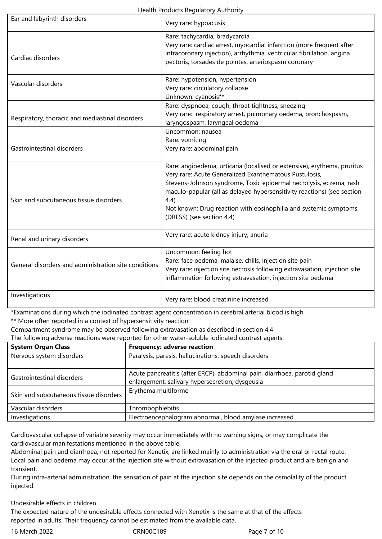| Health Products Regulatory Authority |  |
|--------------------------------------|--|
|--------------------------------------|--|

| Ear and labyrinth disorders                          | Very rare: hypoacusis                                                                                                                                                                                                                                                                                                                                                                        |  |  |  |
|------------------------------------------------------|----------------------------------------------------------------------------------------------------------------------------------------------------------------------------------------------------------------------------------------------------------------------------------------------------------------------------------------------------------------------------------------------|--|--|--|
| Cardiac disorders                                    | Rare: tachycardia, bradycardia<br>Very rare: cardiac arrest, myocardial infarction (more frequent after<br>intracoronary injection), arrhythmia, ventricular fibrillation, angina<br>pectoris, torsades de pointes, arteriospasm coronary                                                                                                                                                    |  |  |  |
| Vascular disorders                                   | Rare: hypotension, hypertension<br>Very rare: circulatory collapse<br>Unknown: cyanosis**                                                                                                                                                                                                                                                                                                    |  |  |  |
| Respiratory, thoracic and mediastinal disorders      | Rare: dyspnoea, cough, throat tightness, sneezing<br>Very rare: respiratory arrest, pulmonary oedema, bronchospasm,<br>laryngospasm, laryngeal oedema                                                                                                                                                                                                                                        |  |  |  |
| Gastrointestinal disorders                           | Uncommon: nausea<br>Rare: vomiting<br>Very rare: abdominal pain                                                                                                                                                                                                                                                                                                                              |  |  |  |
| Skin and subcutaneous tissue disorders               | Rare: angioedema, urticaria (localised or extensive), erythema, pruritus<br>Very rare: Acute Generalized Exanthematous Pustulosis,<br>Stevens-Johnson syndrome, Toxic epidermal necrolysis, eczema, rash<br>maculo-papular (all as delayed hypersensitivity reactions) (see section<br>4.4)<br>Not known: Drug reaction with eosinophilia and systemic symptoms<br>(DRESS) (see section 4.4) |  |  |  |
| Renal and urinary disorders                          | Very rare: acute kidney injury, anuria                                                                                                                                                                                                                                                                                                                                                       |  |  |  |
| General disorders and administration site conditions | Uncommon: feeling hot<br>Rare: face oedema, malaise, chills, injection site pain<br>Very rare: injection site necrosis following extravasation, injection site<br>inflammation following extravasation, injection site oedema                                                                                                                                                                |  |  |  |
| Investigations                                       | Very rare: blood creatinine increased                                                                                                                                                                                                                                                                                                                                                        |  |  |  |

\*Examinations during which the iodinated contrast agent concentration in cerebral arterial blood is high

\*\* More often reported in a context of hypersensitivity reaction

Compartment syndrome may be observed following extravasation as described in section 4.4

The following adverse reactions were reported for other water-soluble iodinated contrast agents.

| <b>System Organ Class</b>              | <b>Frequency: adverse reaction</b>                                                                                           |
|----------------------------------------|------------------------------------------------------------------------------------------------------------------------------|
| Nervous system disorders               | Paralysis, paresis, hallucinations, speech disorders                                                                         |
| Gastrointestinal disorders             | Acute pancreatitis (after ERCP), abdominal pain, diarrhoea, parotid gland<br>enlargement, salivary hypersecretion, dysgeusia |
| Skin and subcutaneous tissue disorders | Erythema multiforme                                                                                                          |
| Vascular disorders                     | Thrombophlebitis                                                                                                             |
| Investigations                         | Electroencephalogram abnormal, blood amylase increased                                                                       |

Cardiovascular collapse of variable severity may occur immediately with no warning signs, or may complicate the cardiovascular manifestations mentioned in the above table.

Abdominal pain and diarrhoea, not reported for Xenetix, are linked mainly to administration via the oral or rectal route. Local pain and oedema may occur at the injection site without extravasation of the injected product and are benign and transient.

During intra-arterial administration, the sensation of pain at the injection site depends on the osmolality of the product injected.

## Undesirable effects in children

The expected nature of the undesirable effects connected with Xenetix is the same at that of the effects reported in adults. Their frequency cannot be estimated from the available data.

16 March 2022 CRN00C189 Page 7 of 10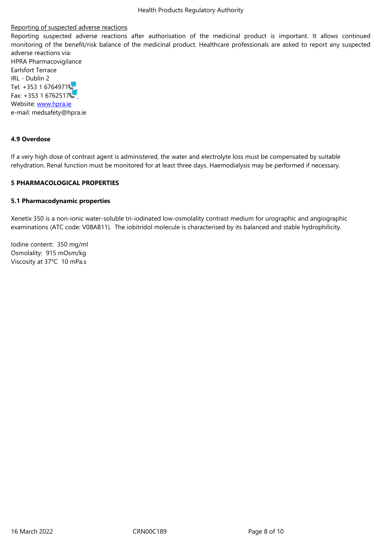Reporting suspected adverse reactions after authorisation of the medicinal product is important. It allows continued monitoring of the benefit/risk balance of the medicinal product. Healthcare professionals are asked to report any suspected adverse reactions via: HPRA Pharmacovigilance Earlsfort Terrace IRL - Dublin 2 Tel: +353 1 6764971

Fax: +353 1 6762517 Website: www.hpra.ie e-mail: medsafety@hpra.ie

#### **4.9 Over[dose](http://www.hpra.ie/)**

If a very high dose of contrast agent is administered, the water and electrolyte loss must be compensated by suitable rehydration. Renal function must be monitored for at least three days. Haemodialysis may be performed if necessary.

## **5 PHARMACOLOGICAL PROPERTIES**

## **5.1 Pharmacodynamic properties**

Xenetix 350 is a non-ionic water-soluble tri-iodinated low-osmolality contrast medium for urographic and angiographic examinations (ATC code: V08AB11). The iobitridol molecule is characterised by its balanced and stable hydrophilicity.

Iodine content: 350 mg/ml Osmolality: 915 mOsm/kg Viscosity at 37°C 10 mPa.s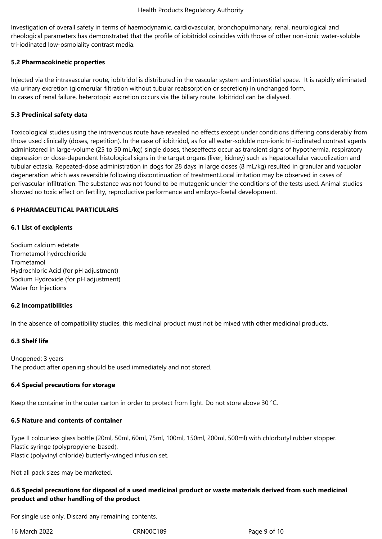Investigation of overall safety in terms of haemodynamic, cardiovascular, bronchopulmonary, renal, neurological and rheological parameters has demonstrated that the profile of iobitridol coincides with those of other non-ionic water-soluble tri-iodinated low-osmolality contrast media.

## **5.2 Pharmacokinetic properties**

Injected via the intravascular route, iobitridol is distributed in the vascular system and interstitial space. It is rapidly eliminated via urinary excretion (glomerular filtration without tubular reabsorption or secretion) in unchanged form. In cases of renal failure, heterotopic excretion occurs via the biliary route. Iobitridol can be dialysed.

### **5.3 Preclinical safety data**

Toxicological studies using the intravenous route have revealed no effects except under conditions differing considerably from those used clinically (doses, repetition). In the case of iobitridol, as for all water-soluble non-ionic tri-iodinated contrast agents administered in large-volume (25 to 50 mL/kg) single doses, theseeffects occur as transient signs of hypothermia, respiratory depression or dose-dependent histological signs in the target organs (liver, kidney) such as hepatocellular vacuolization and tubular ectasia. Repeated-dose administration in dogs for 28 days in large doses (8 mL/kg) resulted in granular and vacuolar degeneration which was reversible following discontinuation of treatment.Local irritation may be observed in cases of perivascular infiltration. The substance was not found to be mutagenic under the conditions of the tests used. Animal studies showed no toxic effect on fertility, reproductive performance and embryo-foetal development.

### **6 PHARMACEUTICAL PARTICULARS**

### **6.1 List of excipients**

Sodium calcium edetate Trometamol hydrochloride Trometamol Hydrochloric Acid (for pH adjustment) Sodium Hydroxide (for pH adjustment) Water for Injections

#### **6.2 Incompatibilities**

In the absence of compatibility studies, this medicinal product must not be mixed with other medicinal products.

## **6.3 Shelf life**

Unopened: 3 years The product after opening should be used immediately and not stored.

#### **6.4 Special precautions for storage**

Keep the container in the outer carton in order to protect from light. Do not store above 30 °C.

#### **6.5 Nature and contents of container**

Type II colourless glass bottle (20ml, 50ml, 60ml, 75ml, 100ml, 150ml, 200ml, 500ml) with chlorbutyl rubber stopper. Plastic syringe (polypropylene-based). Plastic (polyvinyl chloride) butterfly-winged infusion set.

Not all pack sizes may be marketed.

## **6.6 Special precautions for disposal of a used medicinal product or waste materials derived from such medicinal product and other handling of the product**

For single use only. Discard any remaining contents.

16 March 2022 CRN00C189 Page 9 of 10